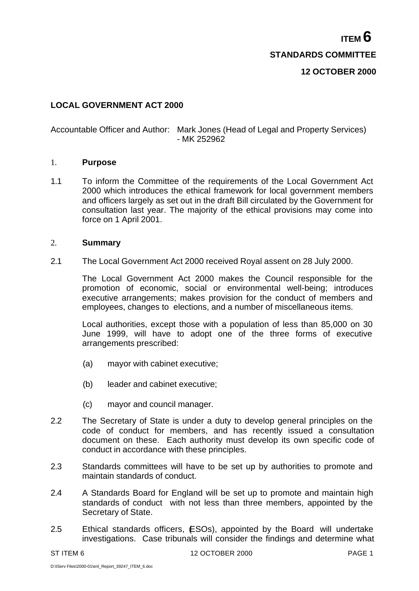**ITEM 6 STANDARDS COMMITTEE 12 OCTOBER 2000**

# **LOCAL GOVERNMENT ACT 2000**

### Accountable Officer and Author: Mark Jones (Head of Legal and Property Services) - MK 252962

#### 1. **Purpose**

1.1 To inform the Committee of the requirements of the Local Government Act 2000 which introduces the ethical framework for local government members and officers largely as set out in the draft Bill circulated by the Government for consultation last year. The majority of the ethical provisions may come into force on 1 April 2001.

#### 2. **Summary**

2.1 The Local Government Act 2000 received Royal assent on 28 July 2000.

The Local Government Act 2000 makes the Council responsible for the promotion of economic, social or environmental well-being; introduces executive arrangements; makes provision for the conduct of members and employees, changes to elections, and a number of miscellaneous items.

Local authorities, except those with a population of less than 85,000 on 30 June 1999, will have to adopt one of the three forms of executive arrangements prescribed:

- (a) mayor with cabinet executive;
- (b) leader and cabinet executive;
- (c) mayor and council manager.
- 2.2 The Secretary of State is under a duty to develop general principles on the code of conduct for members, and has recently issued a consultation document on these. Each authority must develop its own specific code of conduct in accordance with these principles.
- 2.3 Standards committees will have to be set up by authorities to promote and maintain standards of conduct.
- 2.4 A Standards Board for England will be set up to promote and maintain high standards of conduct with not less than three members, appointed by the Secretary of State.
- 2.5 Ethical standards officers, ESOs), appointed by the Board will undertake investigations. Case tribunals will consider the findings and determine what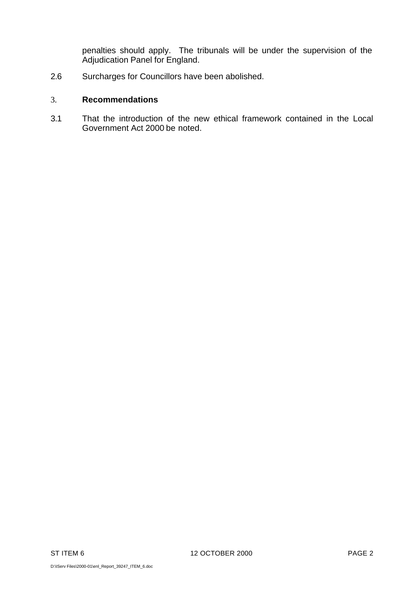penalties should apply. The tribunals will be under the supervision of the Adjudication Panel for England.

2.6 Surcharges for Councillors have been abolished.

### 3. **Recommendations**

3.1 That the introduction of the new ethical framework contained in the Local Government Act 2000 be noted.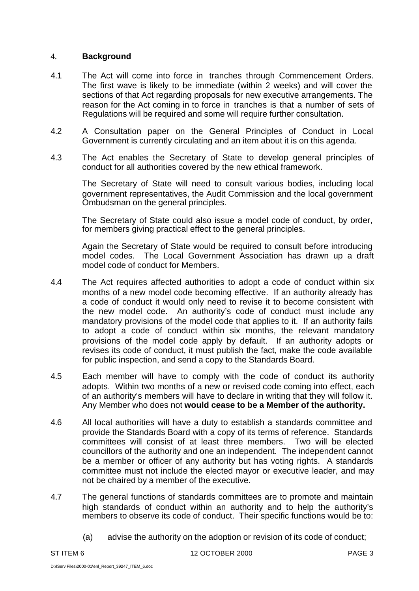## 4. **Background**

- 4.1 The Act will come into force in tranches through Commencement Orders. The first wave is likely to be immediate (within 2 weeks) and will cover the sections of that Act regarding proposals for new executive arrangements. The reason for the Act coming in to force in tranches is that a number of sets of Regulations will be required and some will require further consultation.
- 4.2 A Consultation paper on the General Principles of Conduct in Local Government is currently circulating and an item about it is on this agenda.
- 4.3 The Act enables the Secretary of State to develop general principles of conduct for all authorities covered by the new ethical framework.

The Secretary of State will need to consult various bodies, including local government representatives, the Audit Commission and the local government Ombudsman on the general principles.

The Secretary of State could also issue a model code of conduct, by order, for members giving practical effect to the general principles.

Again the Secretary of State would be required to consult before introducing model codes. The Local Government Association has drawn up a draft model code of conduct for Members.

- 4.4 The Act requires affected authorities to adopt a code of conduct within six months of a new model code becoming effective. If an authority already has a code of conduct it would only need to revise it to become consistent with the new model code. An authority's code of conduct must include any mandatory provisions of the model code that applies to it. If an authority fails to adopt a code of conduct within six months, the relevant mandatory provisions of the model code apply by default. If an authority adopts or revises its code of conduct, it must publish the fact, make the code available for public inspection, and send a copy to the Standards Board.
- 4.5 Each member will have to comply with the code of conduct its authority adopts. Within two months of a new or revised code coming into effect, each of an authority's members will have to declare in writing that they will follow it. Any Member who does not **would cease to be a Member of the authority.**
- 4.6 All local authorities will have a duty to establish a standards committee and provide the Standards Board with a copy of its terms of reference. Standards committees will consist of at least three members. Two will be elected councillors of the authority and one an independent. The independent cannot be a member or officer of any authority but has voting rights. A standards committee must not include the elected mayor or executive leader, and may not be chaired by a member of the executive.
- 4.7 The general functions of standards committees are to promote and maintain high standards of conduct within an authority and to help the authority's members to observe its code of conduct. Their specific functions would be to:
	- (a) advise the authority on the adoption or revision of its code of conduct;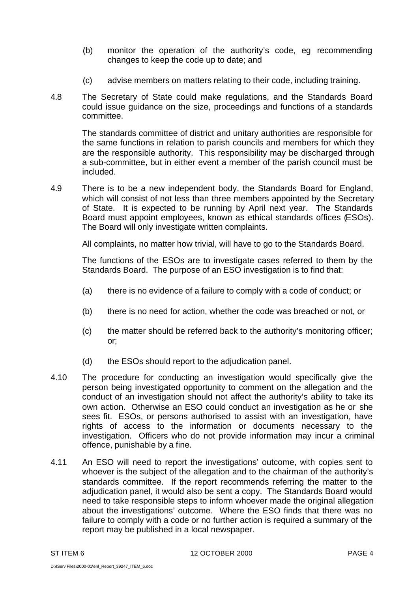- (b) monitor the operation of the authority's code, eg recommending changes to keep the code up to date; and
- (c) advise members on matters relating to their code, including training.
- 4.8 The Secretary of State could make regulations, and the Standards Board could issue guidance on the size, proceedings and functions of a standards committee.

The standards committee of district and unitary authorities are responsible for the same functions in relation to parish councils and members for which they are the responsible authority. This responsibility may be discharged through a sub-committee, but in either event a member of the parish council must be included.

4.9 There is to be a new independent body, the Standards Board for England, which will consist of not less than three members appointed by the Secretary of State. It is expected to be running by April next year. The Standards Board must appoint employees, known as ethical standards offices (ESOs). The Board will only investigate written complaints.

All complaints, no matter how trivial, will have to go to the Standards Board.

The functions of the ESOs are to investigate cases referred to them by the Standards Board. The purpose of an ESO investigation is to find that:

- (a) there is no evidence of a failure to comply with a code of conduct; or
- (b) there is no need for action, whether the code was breached or not, or
- (c) the matter should be referred back to the authority's monitoring officer; or;
- (d) the ESOs should report to the adjudication panel.
- 4.10 The procedure for conducting an investigation would specifically give the person being investigated opportunity to comment on the allegation and the conduct of an investigation should not affect the authority's ability to take its own action. Otherwise an ESO could conduct an investigation as he or she sees fit. ESOs, or persons authorised to assist with an investigation, have rights of access to the information or documents necessary to the investigation. Officers who do not provide information may incur a criminal offence, punishable by a fine.
- 4.11 An ESO will need to report the investigations' outcome, with copies sent to whoever is the subject of the allegation and to the chairman of the authority's standards committee. If the report recommends referring the matter to the adjudication panel, it would also be sent a copy. The Standards Board would need to take responsible steps to inform whoever made the original allegation about the investigations' outcome. Where the ESO finds that there was no failure to comply with a code or no further action is required a summary of the report may be published in a local newspaper.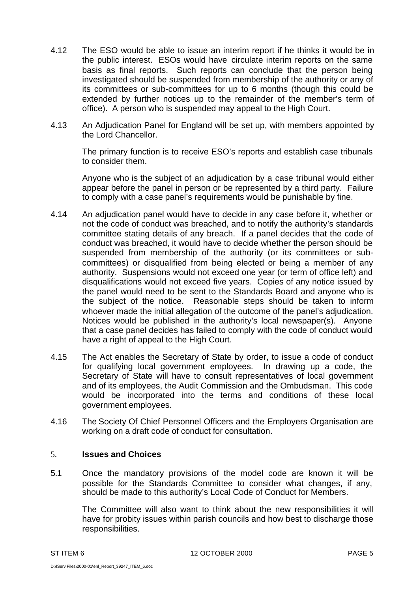- 4.12 The ESO would be able to issue an interim report if he thinks it would be in the public interest. ESOs would have circulate interim reports on the same basis as final reports. Such reports can conclude that the person being investigated should be suspended from membership of the authority or any of its committees or sub-committees for up to 6 months (though this could be extended by further notices up to the remainder of the member's term of office). A person who is suspended may appeal to the High Court.
- 4.13 An Adjudication Panel for England will be set up, with members appointed by the Lord Chancellor.

The primary function is to receive ESO's reports and establish case tribunals to consider them.

Anyone who is the subject of an adjudication by a case tribunal would either appear before the panel in person or be represented by a third party. Failure to comply with a case panel's requirements would be punishable by fine.

- 4.14 An adjudication panel would have to decide in any case before it, whether or not the code of conduct was breached, and to notify the authority's standards committee stating details of any breach. If a panel decides that the code of conduct was breached, it would have to decide whether the person should be suspended from membership of the authority (or its committees or subcommittees) or disqualified from being elected or being a member of any authority. Suspensions would not exceed one year (or term of office left) and disqualifications would not exceed five years. Copies of any notice issued by the panel would need to be sent to the Standards Board and anyone who is the subject of the notice. Reasonable steps should be taken to inform whoever made the initial allegation of the outcome of the panel's adjudication. Notices would be published in the authority's local newspaper(s). Anyone that a case panel decides has failed to comply with the code of conduct would have a right of appeal to the High Court.
- 4.15 The Act enables the Secretary of State by order, to issue a code of conduct for qualifying local government employees. In drawing up a code, the Secretary of State will have to consult representatives of local government and of its employees, the Audit Commission and the Ombudsman. This code would be incorporated into the terms and conditions of these local government employees.
- 4.16 The Society Of Chief Personnel Officers and the Employers Organisation are working on a draft code of conduct for consultation.

### 5. **Issues and Choices**

5.1 Once the mandatory provisions of the model code are known it will be possible for the Standards Committee to consider what changes, if any, should be made to this authority's Local Code of Conduct for Members.

The Committee will also want to think about the new responsibilities it will have for probity issues within parish councils and how best to discharge those responsibilities.